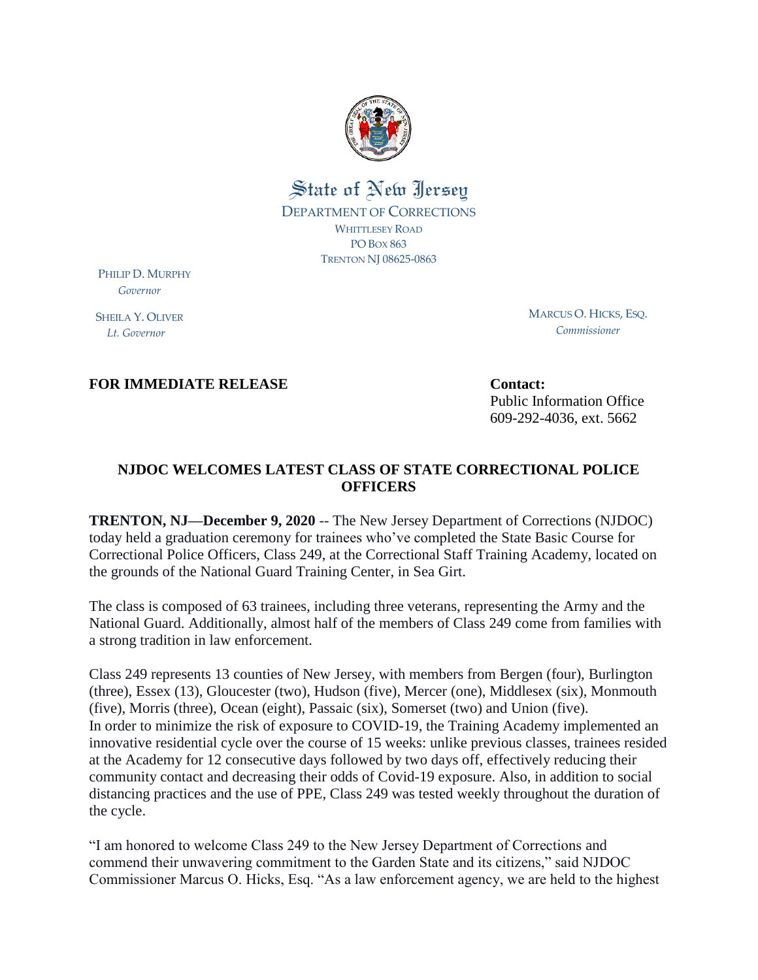

## State of New Jersey DEPARTMENT OF CORRECTIONS WHITTLESEY ROAD PO BOX 863 TRENTON NJ 08625-0863

PHILIP D. MURPHY  *Governor*

SHEILA Y. OLIVER  *Lt. Governor*

MARCUS O. HICKS, ESQ. *Commissioner*

**FOR IMMEDIATE RELEASE Contact:** 

Public Information Office 609-292-4036, ext. 5662

## **NJDOC WELCOMES LATEST CLASS OF STATE CORRECTIONAL POLICE OFFICERS**

**TRENTON, NJ—December 9, 2020** -- The New Jersey Department of Corrections (NJDOC) today held a graduation ceremony for trainees who've completed the State Basic Course for Correctional Police Officers, Class 249, at the Correctional Staff Training Academy, located on the grounds of the National Guard Training Center, in Sea Girt.

The class is composed of 63 trainees, including three veterans, representing the Army and the National Guard. Additionally, almost half of the members of Class 249 come from families with a strong tradition in law enforcement.

Class 249 represents 13 counties of New Jersey, with members from Bergen (four), Burlington (three), Essex (13), Gloucester (two), Hudson (five), Mercer (one), Middlesex (six), Monmouth (five), Morris (three), Ocean (eight), Passaic (six), Somerset (two) and Union (five). In order to minimize the risk of exposure to COVID-19, the Training Academy implemented an innovative residential cycle over the course of 15 weeks: unlike previous classes, trainees resided at the Academy for 12 consecutive days followed by two days off, effectively reducing their community contact and decreasing their odds of Covid-19 exposure. Also, in addition to social distancing practices and the use of PPE, Class 249 was tested weekly throughout the duration of the cycle.

"I am honored to welcome Class 249 to the New Jersey Department of Corrections and commend their unwavering commitment to the Garden State and its citizens," said NJDOC Commissioner Marcus O. Hicks, Esq. "As a law enforcement agency, we are held to the highest